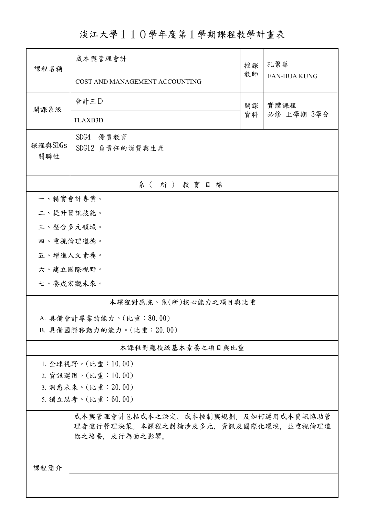淡江大學110學年度第1學期課程教學計畫表

| 課程名稱                                                                                        | 成本與管理會計<br>授課                   |          | 孔繁華                 |  |  |  |  |  |  |
|---------------------------------------------------------------------------------------------|---------------------------------|----------|---------------------|--|--|--|--|--|--|
|                                                                                             | COST AND MANAGEMENT ACCOUNTING  | 教師       | <b>FAN-HUA KUNG</b> |  |  |  |  |  |  |
| 開課系級                                                                                        | 會計三D                            | 開課<br>資料 | 實體課程<br>必修 上學期 3學分  |  |  |  |  |  |  |
|                                                                                             | <b>TLAXB3D</b>                  |          |                     |  |  |  |  |  |  |
| 課程與SDGs<br>關聯性                                                                              | SDG4<br>優質教育<br>SDG12 負責任的消費與生產 |          |                     |  |  |  |  |  |  |
| 系(所)教育目標                                                                                    |                                 |          |                     |  |  |  |  |  |  |
| 一、精實會計專業。                                                                                   |                                 |          |                     |  |  |  |  |  |  |
| 二、提升資訊技能。                                                                                   |                                 |          |                     |  |  |  |  |  |  |
| 三、整合多元領域。                                                                                   |                                 |          |                     |  |  |  |  |  |  |
| 四、重視倫理道德。                                                                                   |                                 |          |                     |  |  |  |  |  |  |
| 五、增進人文素養。                                                                                   |                                 |          |                     |  |  |  |  |  |  |
| 六、建立國際視野。                                                                                   |                                 |          |                     |  |  |  |  |  |  |
| 七、養成宏觀未來。                                                                                   |                                 |          |                     |  |  |  |  |  |  |
| 本課程對應院、系(所)核心能力之項目與比重                                                                       |                                 |          |                     |  |  |  |  |  |  |
| A. 具備會計專業的能力。(比重:80.00)                                                                     |                                 |          |                     |  |  |  |  |  |  |
| B. 具備國際移動力的能力。(比重: 20.00)                                                                   |                                 |          |                     |  |  |  |  |  |  |
|                                                                                             | 本課程對應校級基本素養之項目與比重               |          |                     |  |  |  |  |  |  |
| 1. 全球視野。(比重:10.00)                                                                          |                                 |          |                     |  |  |  |  |  |  |
| 2. 資訊運用。(比重:10.00)                                                                          |                                 |          |                     |  |  |  |  |  |  |
| 3. 洞悉未來。(比重: 20.00)                                                                         |                                 |          |                     |  |  |  |  |  |  |
| 5. 獨立思考。(比重:60.00)                                                                          |                                 |          |                     |  |  |  |  |  |  |
| 成本與管理會計包括成本之決定、成本控制與規劃,及如何運用成本資訊協助管<br>理者進行管理決策。本課程之討論涉及多元、資訊及國際化環境,並重視倫理道<br>德之培養、及行為面之影響。 |                                 |          |                     |  |  |  |  |  |  |
| 課程簡介                                                                                        |                                 |          |                     |  |  |  |  |  |  |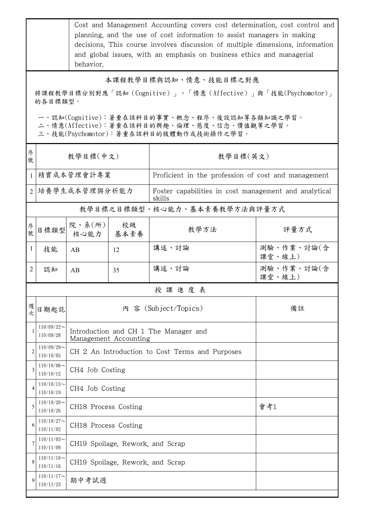|                                                                         | Cost and Management Accounting covers cost determination, cost control and<br>planning, and the use of cost information to assist managers in making<br>decisions. This course involves discussion of multiple dimensions, information<br>and global issues, with an emphasis on business ethics and managerial<br>behavior. |                                                                |                                                 |                                                                                              |                                                       |  |  |  |
|-------------------------------------------------------------------------|------------------------------------------------------------------------------------------------------------------------------------------------------------------------------------------------------------------------------------------------------------------------------------------------------------------------------|----------------------------------------------------------------|-------------------------------------------------|----------------------------------------------------------------------------------------------|-------------------------------------------------------|--|--|--|
|                                                                         | 本課程教學目標與認知、情意、技能目標之對應                                                                                                                                                                                                                                                                                                        |                                                                |                                                 |                                                                                              |                                                       |  |  |  |
| 將課程教學目標分別對應「認知(Cognitive)」、「情意(Affective)」與「技能(Psychomotor)」<br>的各目標類型。 |                                                                                                                                                                                                                                                                                                                              |                                                                |                                                 |                                                                                              |                                                       |  |  |  |
|                                                                         |                                                                                                                                                                                                                                                                                                                              |                                                                |                                                 |                                                                                              |                                                       |  |  |  |
|                                                                         |                                                                                                                                                                                                                                                                                                                              |                                                                |                                                 | 一、認知(Cognitive):著重在該科目的事實、概念、程序、後設認知等各類知識之學習。<br>二、情意(Affective):著重在該科目的興趣、倫理、態度、信念、價值觀等之學習。 |                                                       |  |  |  |
|                                                                         |                                                                                                                                                                                                                                                                                                                              |                                                                |                                                 | 三、技能(Psychomotor):著重在該科目的肢體動作或技術操作之學習。                                                       |                                                       |  |  |  |
| 序<br>號                                                                  | 教學目標(中文)                                                                                                                                                                                                                                                                                                                     |                                                                |                                                 | 教學目標(英文)                                                                                     |                                                       |  |  |  |
| 1                                                                       |                                                                                                                                                                                                                                                                                                                              | 精實成本管理會計專業                                                     |                                                 | Proficient in the profession of cost and management                                          |                                                       |  |  |  |
|                                                                         |                                                                                                                                                                                                                                                                                                                              | 2   培養學生成本管理與分析能力<br>skills                                    |                                                 |                                                                                              | Foster capabilities in cost management and analytical |  |  |  |
|                                                                         |                                                                                                                                                                                                                                                                                                                              |                                                                |                                                 | 教學目標之目標類型、核心能力、基本素養教學方法與評量方式                                                                 |                                                       |  |  |  |
| 序號                                                                      | 目標類型                                                                                                                                                                                                                                                                                                                         | 院、系 $(\kappa)$  <br>核心能力                                       | 校級<br>基本素養                                      | 教學方法                                                                                         | 評量方式                                                  |  |  |  |
| 1                                                                       | 技能                                                                                                                                                                                                                                                                                                                           | AB                                                             | 12                                              | 講述、討論                                                                                        | 測驗、作業、討論(含<br>課堂、線上)                                  |  |  |  |
| 2                                                                       | 認知                                                                                                                                                                                                                                                                                                                           | AB                                                             | 35                                              | 講述、討論                                                                                        | 測驗、作業、討論(含<br>課堂、線上)                                  |  |  |  |
|                                                                         |                                                                                                                                                                                                                                                                                                                              |                                                                |                                                 | 授課進度表                                                                                        |                                                       |  |  |  |
| 週<br>次                                                                  | 日期起訖                                                                                                                                                                                                                                                                                                                         | 内 容 (Subject/Topics)                                           |                                                 |                                                                                              | 備註                                                    |  |  |  |
|                                                                         | $110/09/22$ ~<br>110/09/28                                                                                                                                                                                                                                                                                                   | Introduction and CH 1 The Manager and<br>Management Accounting |                                                 |                                                                                              |                                                       |  |  |  |
| $\overline{2}$                                                          | $110/09/29$ ~<br>110/10/05                                                                                                                                                                                                                                                                                                   |                                                                | CH 2 An Introduction to Cost Terms and Purposes |                                                                                              |                                                       |  |  |  |
| 3                                                                       | $110/10/06 \sim$<br>110/10/12                                                                                                                                                                                                                                                                                                | CH4 Job Costing                                                |                                                 |                                                                                              |                                                       |  |  |  |
| 4                                                                       | $110/10/13$ ~<br>110/10/19                                                                                                                                                                                                                                                                                                   | CH4 Job Costing                                                |                                                 |                                                                                              |                                                       |  |  |  |
| 5                                                                       | $110/10/20$ ~<br>110/10/26                                                                                                                                                                                                                                                                                                   | CH18 Process Costing                                           |                                                 | 會考1                                                                                          |                                                       |  |  |  |
| 6                                                                       | $110/10/27$ ~<br>110/11/02                                                                                                                                                                                                                                                                                                   | CH18 Process Costing                                           |                                                 |                                                                                              |                                                       |  |  |  |
| 7                                                                       | $110/11/03$ ~<br>110/11/09                                                                                                                                                                                                                                                                                                   | CH19 Spoilage, Rework, and Scrap                               |                                                 |                                                                                              |                                                       |  |  |  |
| 8                                                                       | $110/11/10$ ~<br>110/11/16                                                                                                                                                                                                                                                                                                   | CH19 Spoilage, Rework, and Scrap                               |                                                 |                                                                                              |                                                       |  |  |  |
| 9                                                                       | $110/11/17$ ~<br>110/11/23                                                                                                                                                                                                                                                                                                   | 期中考試週                                                          |                                                 |                                                                                              |                                                       |  |  |  |